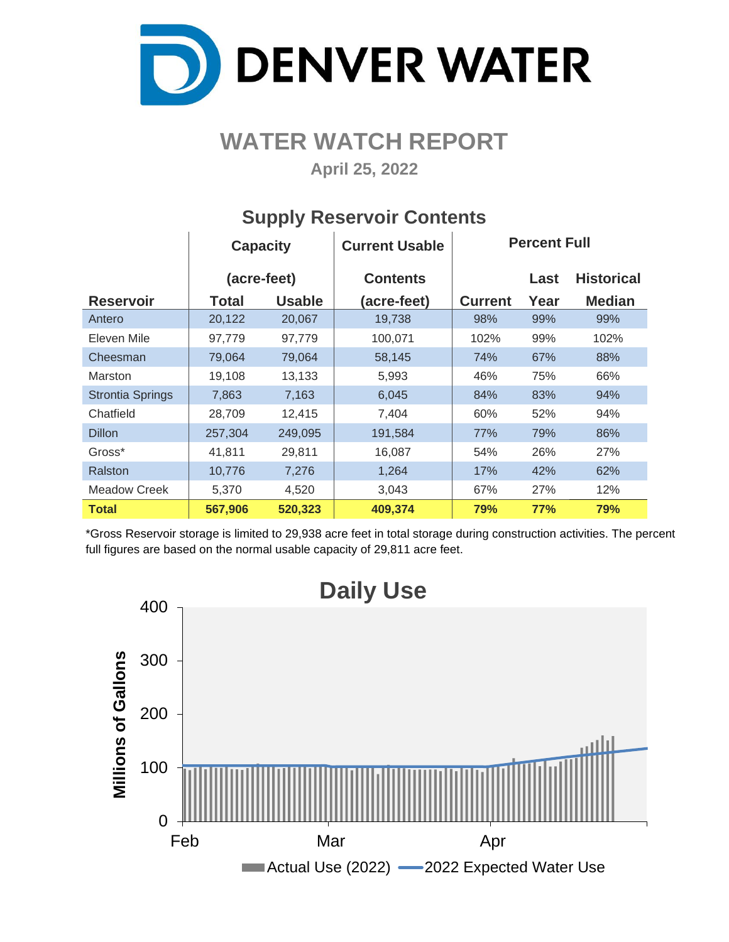

## **WATER WATCH REPORT**

**April 25, 2022**

|                         | <b>Capacity</b> |               | <b>Current Usable</b> | <b>Percent Full</b> |            |                   |  |  |  |
|-------------------------|-----------------|---------------|-----------------------|---------------------|------------|-------------------|--|--|--|
|                         | (acre-feet)     |               | <b>Contents</b>       |                     | Last       | <b>Historical</b> |  |  |  |
| <b>Reservoir</b>        | <b>Total</b>    | <b>Usable</b> | (acre-feet)           | <b>Current</b>      | Year       | <b>Median</b>     |  |  |  |
| Antero                  | 20,122          | 20,067        | 19,738                | 98%                 | 99%        | 99%               |  |  |  |
| Eleven Mile             | 97,779          | 97,779        | 100,071               | 102%                | 99%        | 102%              |  |  |  |
| Cheesman                | 79,064          | 79,064        | 58,145                | 74%                 | 67%        | 88%               |  |  |  |
| <b>Marston</b>          | 19,108          | 13,133        | 5,993                 | 46%                 | 75%        | 66%               |  |  |  |
| <b>Strontia Springs</b> | 7,863           | 7,163         | 6,045                 | 84%                 | 83%        | 94%               |  |  |  |
| Chatfield               | 28,709          | 12,415        | 7,404                 | 60%                 | 52%        | 94%               |  |  |  |
| <b>Dillon</b>           | 257,304         | 249,095       | 191,584               | 77%                 | 79%        | 86%               |  |  |  |
| Gross*                  | 41,811          | 29,811        | 16,087                | 54%                 | 26%        | 27%               |  |  |  |
| Ralston                 | 10,776          | 7,276         | 1,264                 | 17%                 | 42%        | 62%               |  |  |  |
| <b>Meadow Creek</b>     | 5,370           | 4,520         | 3,043                 | 67%                 | 27%        | 12%               |  |  |  |
| <b>Total</b>            | 567,906         | 520,323       | 409,374               | 79%                 | <b>77%</b> | 79%               |  |  |  |

#### **Supply Reservoir Contents**

\*Gross Reservoir storage is limited to 29,938 acre feet in total storage during construction activities. The percent full figures are based on the normal usable capacity of 29,811 acre feet.

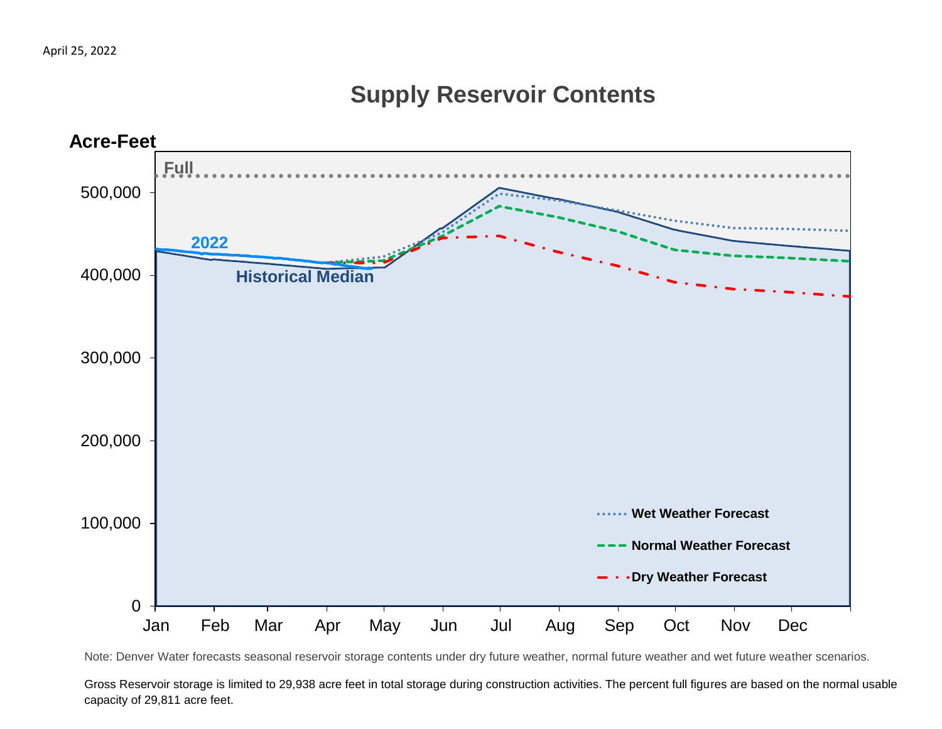## **Supply Reservoir Contents**



Note: Denver Water forecasts seasonal reservoir storage contents under dry future weather, normal future weather and wet future weather scenarios.

Gross Reservoir storage is limited to 29,938 acre feet in total storage during construction activities. The percent full figures are based on the normal usable capacity of 29,811 acre feet.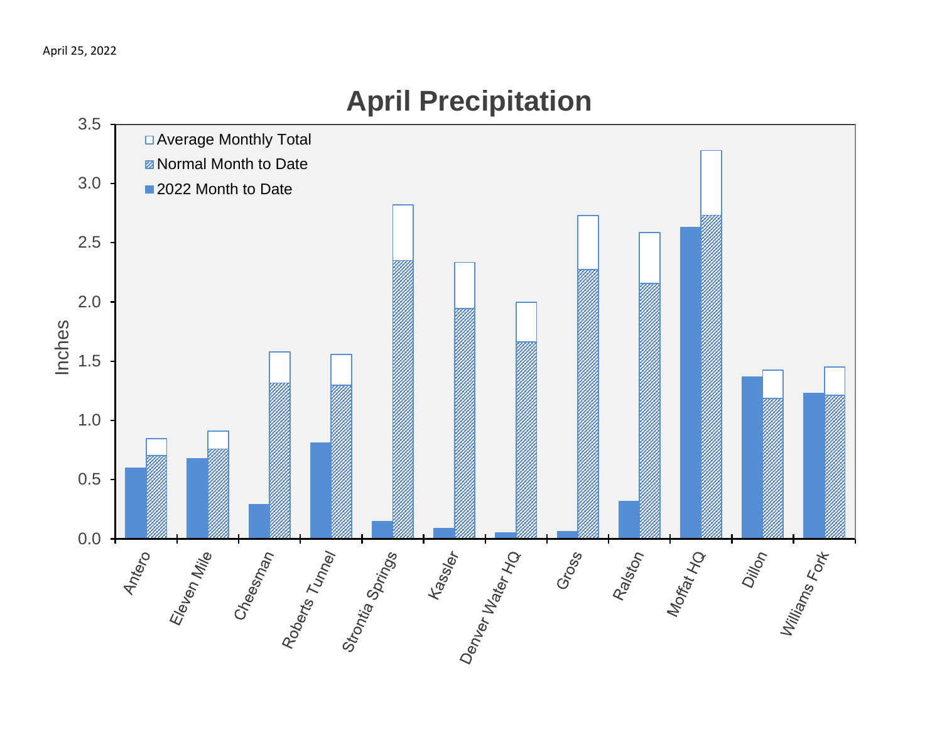

# **April Precipitation**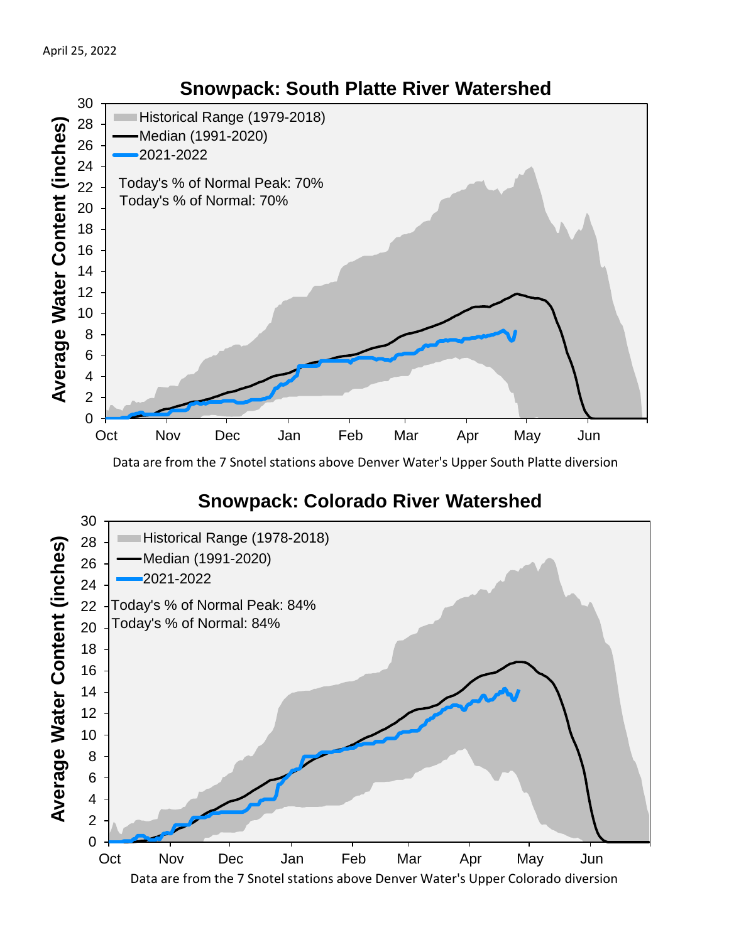

Data are from the 7 Snotel stations above Denver Water's Upper South Platte diversion

### **Snowpack: Colorado River Watershed**

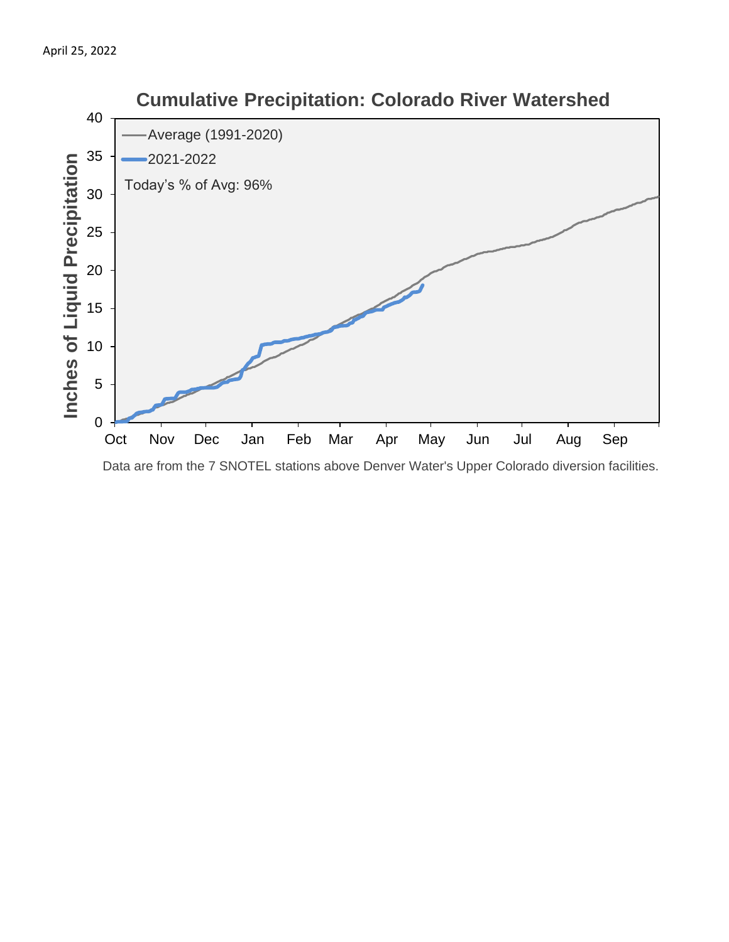

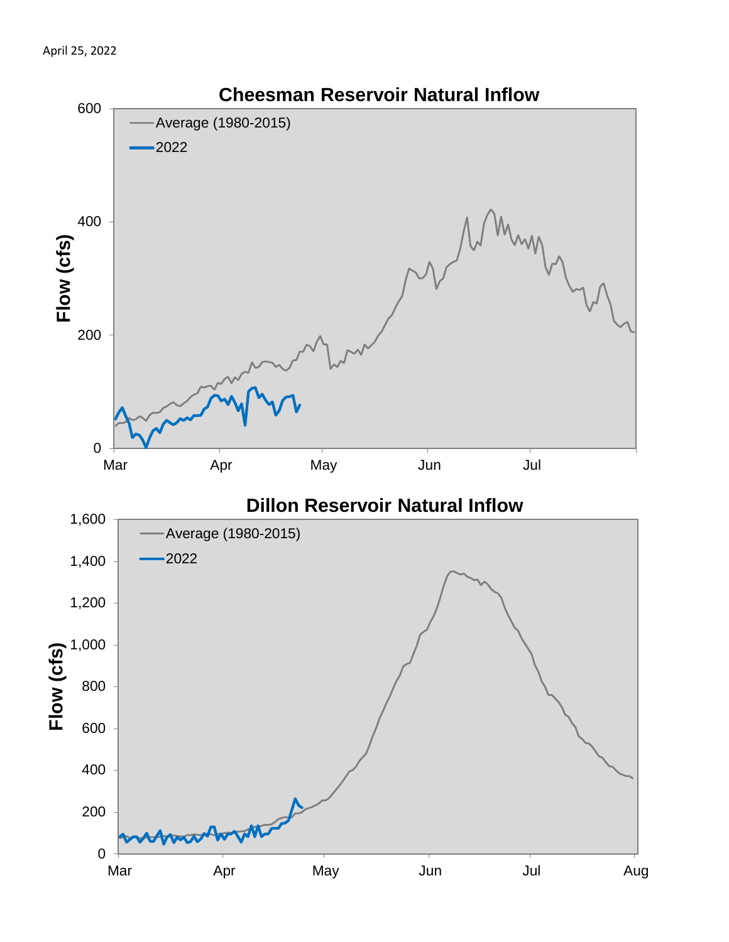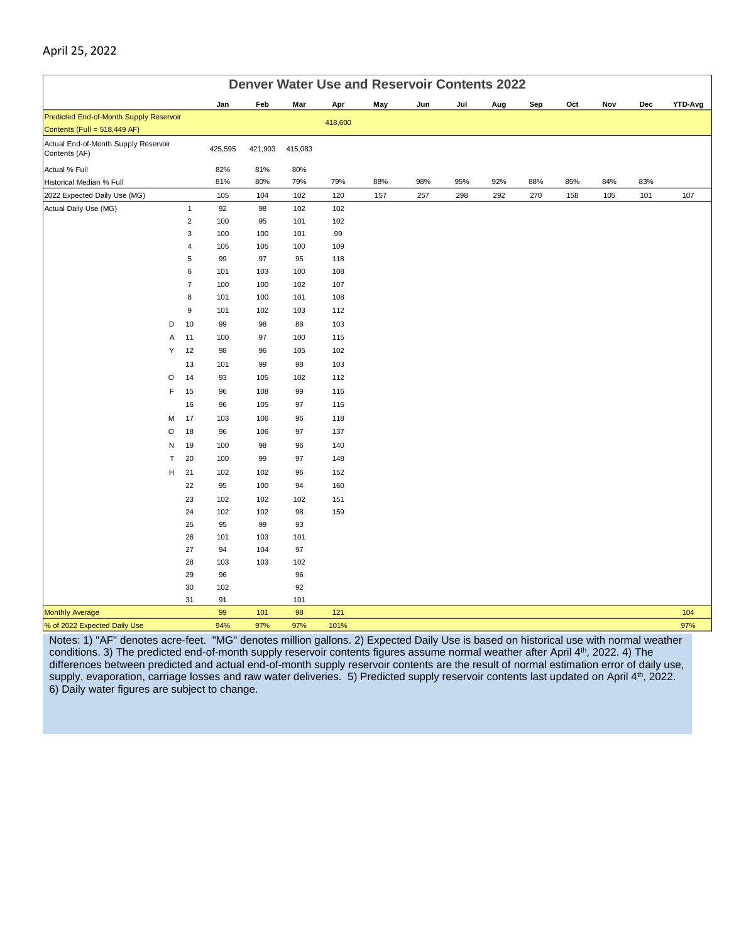|                                                       | <b>Denver Water Use and Reservoir Contents 2022</b> |           |           |           |            |     |     |     |     |     |     |     |     |                |
|-------------------------------------------------------|-----------------------------------------------------|-----------|-----------|-----------|------------|-----|-----|-----|-----|-----|-----|-----|-----|----------------|
|                                                       |                                                     | Jan       | Feb       | Mar       | Apr        | May | Jun | Jul | Aug | Sep | Oct | Nov | Dec | <b>YTD-Avg</b> |
| Predicted End-of-Month Supply Reservoir               |                                                     |           |           |           | 418,600    |     |     |     |     |     |     |     |     |                |
| Contents (Full = 518,449 AF)                          |                                                     |           |           |           |            |     |     |     |     |     |     |     |     |                |
| Actual End-of-Month Supply Reservoir<br>Contents (AF) |                                                     | 425,595   | 421,903   | 415,083   |            |     |     |     |     |     |     |     |     |                |
| Actual % Full                                         |                                                     | 82%       | 81%       | 80%       |            |     |     |     |     |     |     |     |     |                |
| Historical Median % Full                              |                                                     | 81%       | 80%       | 79%       | 79%        | 88% | 98% | 95% | 92% | 88% | 85% | 84% | 83% |                |
| 2022 Expected Daily Use (MG)                          |                                                     | 105       | 104       | 102       | 120        | 157 | 257 | 298 | 292 | 270 | 158 | 105 | 101 | 107            |
| Actual Daily Use (MG)                                 | $\mathbf{1}$                                        | 92        | 98        | 102       | 102        |     |     |     |     |     |     |     |     |                |
|                                                       | $\sqrt{2}$                                          | 100       | 95        | 101       | 102        |     |     |     |     |     |     |     |     |                |
|                                                       | $\ensuremath{\mathsf{3}}$                           | 100       | 100       | 101       | 99         |     |     |     |     |     |     |     |     |                |
|                                                       | 4                                                   | 105       | 105       | 100       | 109        |     |     |     |     |     |     |     |     |                |
|                                                       | 5<br>6                                              | 99<br>101 | 97<br>103 | 95<br>100 | 118<br>108 |     |     |     |     |     |     |     |     |                |
|                                                       | $\overline{7}$                                      | 100       | 100       | 102       | 107        |     |     |     |     |     |     |     |     |                |
|                                                       | 8                                                   | 101       | 100       | 101       | 108        |     |     |     |     |     |     |     |     |                |
|                                                       | $\boldsymbol{9}$                                    | 101       | 102       | 103       | 112        |     |     |     |     |     |     |     |     |                |
| D                                                     | 10                                                  | 99        | 98        | 88        | 103        |     |     |     |     |     |     |     |     |                |
| Α                                                     | 11                                                  | 100       | 97        | 100       | 115        |     |     |     |     |     |     |     |     |                |
| Υ                                                     | 12                                                  | 98        | 96        | 105       | 102        |     |     |     |     |     |     |     |     |                |
|                                                       | 13                                                  | 101       | 99        | 98        | 103        |     |     |     |     |     |     |     |     |                |
| O                                                     | 14                                                  | 93        | 105       | 102       | 112        |     |     |     |     |     |     |     |     |                |
| F                                                     | 15                                                  | 96        | 108       | 99        | 116        |     |     |     |     |     |     |     |     |                |
|                                                       | 16                                                  | 96        | 105       | 97        | 116        |     |     |     |     |     |     |     |     |                |
| М                                                     | 17                                                  | 103       | 106       | 96        | 118        |     |     |     |     |     |     |     |     |                |
| O                                                     | 18                                                  | 96        | 106       | 97        | 137        |     |     |     |     |     |     |     |     |                |
| N                                                     | 19                                                  | 100       | 98        | 96        | 140        |     |     |     |     |     |     |     |     |                |
| T                                                     | 20                                                  | 100       | 99        | 97        | 148        |     |     |     |     |     |     |     |     |                |
| H                                                     | 21                                                  | 102       | 102       | 96        | 152        |     |     |     |     |     |     |     |     |                |
|                                                       | 22                                                  | 95        | 100       | 94        | 160        |     |     |     |     |     |     |     |     |                |
|                                                       | 23                                                  | 102       | 102       | 102       | 151        |     |     |     |     |     |     |     |     |                |
|                                                       | 24                                                  | 102       | 102       | 98        | 159        |     |     |     |     |     |     |     |     |                |
|                                                       | 25                                                  | 95        | 99        | 93        |            |     |     |     |     |     |     |     |     |                |
|                                                       | 26                                                  | 101       | 103       | 101       |            |     |     |     |     |     |     |     |     |                |
|                                                       | 27                                                  | 94        | 104       | 97        |            |     |     |     |     |     |     |     |     |                |
|                                                       | 28                                                  | 103       | 103       | 102       |            |     |     |     |     |     |     |     |     |                |
|                                                       | 29                                                  | 96        |           | 96        |            |     |     |     |     |     |     |     |     |                |
|                                                       | 30                                                  | 102       |           | 92        |            |     |     |     |     |     |     |     |     |                |
|                                                       | 31                                                  | 91        |           | 101       |            |     |     |     |     |     |     |     |     |                |
| <b>Monthly Average</b>                                |                                                     | 99        | 101       | 98        | $121$      |     |     |     |     |     |     |     |     | 104            |
| % of 2022 Expected Daily Use                          |                                                     | 94%       | 97%       | 97%       | 101%       |     |     |     |     |     |     |     |     | 97%            |

Notes: 1) "AF" denotes acre-feet. "MG" denotes million gallons. 2) Expected Daily Use is based on historical use with normal weather conditions. 3) The predicted end-of-month supply reservoir contents figures assume normal weather after April 4th, 2022. 4) The differences between predicted and actual end-of-month supply reservoir contents are the result of normal estimation error of daily use, supply, evaporation, carriage losses and raw water deliveries. 5) Predicted supply reservoir contents last updated on April 4<sup>th</sup>, 2022. 6) Daily water figures are subject to change.